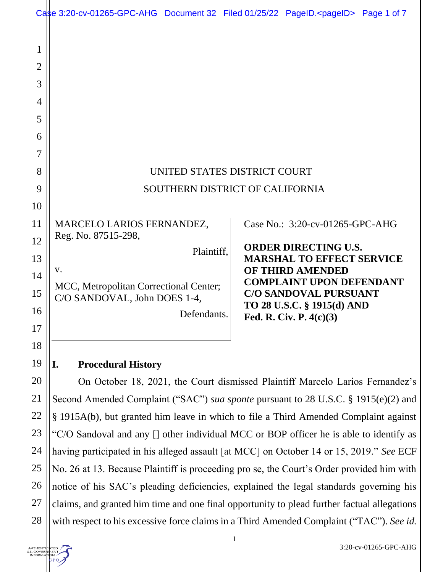|                     | Case 3:20-cv-01265-GPC-AHG Document 32 Filed 01/25/22 PageID. <pageid> Page 1 of 7</pageid>                                                                                |             |  |                                                         |  |
|---------------------|----------------------------------------------------------------------------------------------------------------------------------------------------------------------------|-------------|--|---------------------------------------------------------|--|
| 1<br>$\overline{2}$ |                                                                                                                                                                            |             |  |                                                         |  |
| 3                   |                                                                                                                                                                            |             |  |                                                         |  |
| 4                   |                                                                                                                                                                            |             |  |                                                         |  |
| 5                   |                                                                                                                                                                            |             |  |                                                         |  |
| 6                   |                                                                                                                                                                            |             |  |                                                         |  |
| 7                   |                                                                                                                                                                            |             |  |                                                         |  |
| 8                   | UNITED STATES DISTRICT COURT                                                                                                                                               |             |  |                                                         |  |
| 9                   | SOUTHERN DISTRICT OF CALIFORNIA                                                                                                                                            |             |  |                                                         |  |
| 10                  |                                                                                                                                                                            |             |  |                                                         |  |
| 11                  | MARCELO LARIOS FERNANDEZ,                                                                                                                                                  |             |  | Case No.: 3:20-cv-01265-GPC-AHG                         |  |
| 12                  | Reg. No. 87515-298,                                                                                                                                                        |             |  | <b>ORDER DIRECTING U.S.</b>                             |  |
| 13                  |                                                                                                                                                                            | Plaintiff,  |  | <b>MARSHAL TO EFFECT SERVICE</b>                        |  |
| 14                  | <b>OF THIRD AMENDED</b><br>V.<br><b>COMPLAINT UPON DEFENDANT</b><br>MCC, Metropolitan Correctional Center;<br><b>C/O SANDOVAL PURSUANT</b><br>C/O SANDOVAL, John DOES 1-4, |             |  |                                                         |  |
| 15                  |                                                                                                                                                                            |             |  |                                                         |  |
| 16                  |                                                                                                                                                                            | Defendants. |  | TO 28 U.S.C. § 1915(d) AND<br>Fed. R. Civ. P. $4(c)(3)$ |  |
| 17                  |                                                                                                                                                                            |             |  |                                                         |  |
| 18                  |                                                                                                                                                                            |             |  |                                                         |  |
| 19                  | <b>Procedural History</b><br>I.                                                                                                                                            |             |  |                                                         |  |
| 20                  | On October 18, 2021, the Court dismissed Plaintiff Marcelo Larios Fernandez's                                                                                              |             |  |                                                         |  |
| 21                  | Second Amended Complaint ("SAC") sua sponte pursuant to 28 U.S.C. § 1915(e)(2) and                                                                                         |             |  |                                                         |  |
| 22                  | § 1915A(b), but granted him leave in which to file a Third Amended Complaint against                                                                                       |             |  |                                                         |  |
| 23                  | "C/O Sandoval and any [] other individual MCC or BOP officer he is able to identify as                                                                                     |             |  |                                                         |  |
| 24                  | having participated in his alleged assault [at MCC] on October 14 or 15, 2019." See ECF                                                                                    |             |  |                                                         |  |
| 25                  | No. 26 at 13. Because Plaintiff is proceeding pro se, the Court's Order provided him with                                                                                  |             |  |                                                         |  |
| 26                  | notice of his SAC's pleading deficiencies, explained the legal standards governing his                                                                                     |             |  |                                                         |  |
| 27                  | claims, and granted him time and one final opportunity to plead further factual allegations                                                                                |             |  |                                                         |  |
| 28                  | with respect to his excessive force claims in a Third Amended Complaint ("TAC"). See id.                                                                                   |             |  |                                                         |  |

AUTHENTICATED GPO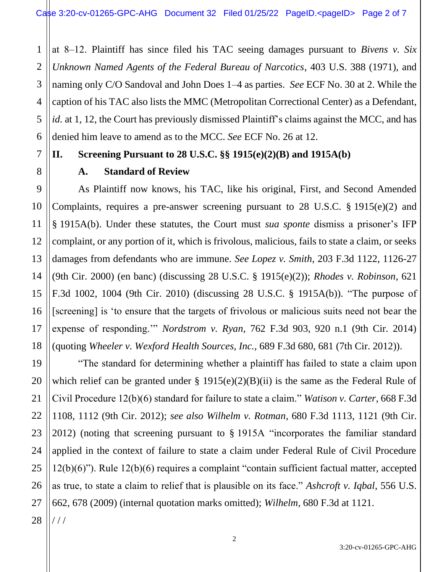1 2 3 4 5 6 at 8‒12. Plaintiff has since filed his TAC seeing damages pursuant to *Bivens v. Six Unknown Named Agents of the Federal Bureau of Narcotics*, 403 U.S. 388 (1971), and naming only C/O Sandoval and John Does 1–4 as parties. *See* ECF No. 30 at 2. While the caption of his TAC also lists the MMC (Metropolitan Correctional Center) as a Defendant, *id.* at 1, 12, the Court has previously dismissed Plaintiff's claims against the MCC, and has denied him leave to amend as to the MCC. *See* ECF No. 26 at 12.

## **II. Screening Pursuant to 28 U.S.C. §§ 1915(e)(2)(B) and 1915A(b)**

## **A. Standard of Review**

As Plaintiff now knows, his TAC, like his original, First, and Second Amended Complaints, requires a pre-answer screening pursuant to 28 U.S.C. § 1915(e)(2) and § 1915A(b). Under these statutes, the Court must *sua sponte* dismiss a prisoner's IFP complaint, or any portion of it, which is frivolous, malicious, fails to state a claim, or seeks damages from defendants who are immune. *See Lopez v. Smith*, 203 F.3d 1122, 1126-27 (9th Cir. 2000) (en banc) (discussing 28 U.S.C. § 1915(e)(2)); *Rhodes v. Robinson*, 621 F.3d 1002, 1004 (9th Cir. 2010) (discussing 28 U.S.C. § 1915A(b)). "The purpose of [screening] is 'to ensure that the targets of frivolous or malicious suits need not bear the expense of responding.'" *Nordstrom v. Ryan*, 762 F.3d 903, 920 n.1 (9th Cir. 2014) (quoting *Wheeler v. Wexford Health Sources, Inc.,* 689 F.3d 680, 681 (7th Cir. 2012)).

"The standard for determining whether a plaintiff has failed to state a claim upon which relief can be granted under  $\S$  1915(e)(2)(B)(ii) is the same as the Federal Rule of Civil Procedure 12(b)(6) standard for failure to state a claim." *Watison v. Carter*, 668 F.3d 1108, 1112 (9th Cir. 2012); *see also Wilhelm v. Rotman*, 680 F.3d 1113, 1121 (9th Cir. 2012) (noting that screening pursuant to § 1915A "incorporates the familiar standard applied in the context of failure to state a claim under Federal Rule of Civil Procedure 12(b)(6)"). Rule 12(b)(6) requires a complaint "contain sufficient factual matter, accepted as true, to state a claim to relief that is plausible on its face." *Ashcroft v. Iqbal*, 556 U.S. 662, 678 (2009) (internal quotation marks omitted); *Wilhelm*, 680 F.3d at 1121. / / /

7

8

9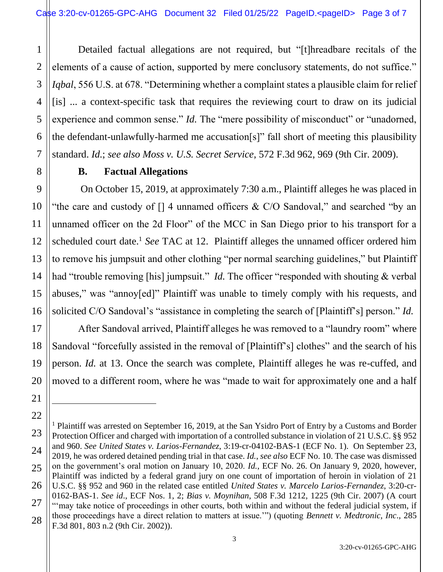1 2 3 4 5 6 7 Detailed factual allegations are not required, but "[t]hreadbare recitals of the elements of a cause of action, supported by mere conclusory statements, do not suffice." *Iqbal*, 556 U.S. at 678. "Determining whether a complaint states a plausible claim for relief [is] ... a context-specific task that requires the reviewing court to draw on its judicial experience and common sense." *Id.* The "mere possibility of misconduct" or "unadorned, the defendant-unlawfully-harmed me accusation[s]" fall short of meeting this plausibility standard. *Id.*; *see also Moss v. U.S. Secret Service*, 572 F.3d 962, 969 (9th Cir. 2009).

## **B. Factual Allegations**

8

9

10

11

12

13

14

15

16

17

18

19

20

21

22

On October 15, 2019, at approximately 7:30 a.m., Plaintiff alleges he was placed in "the care and custody of  $[1 4$  unnamed officers & C/O Sandoval," and searched "by an unnamed officer on the 2d Floor" of the MCC in San Diego prior to his transport for a scheduled court date.<sup>1</sup> *See* TAC at 12. Plaintiff alleges the unnamed officer ordered him to remove his jumpsuit and other clothing "per normal searching guidelines," but Plaintiff had "trouble removing [his] jumpsuit." *Id.* The officer "responded with shouting & verbal abuses," was "annoy[ed]" Plaintiff was unable to timely comply with his requests, and solicited C/O Sandoval's "assistance in completing the search of [Plaintiff's] person." *Id.*

After Sandoval arrived, Plaintiff alleges he was removed to a "laundry room" where Sandoval "forcefully assisted in the removal of [Plaintiff's] clothes" and the search of his person. *Id.* at 13. Once the search was complete, Plaintiff alleges he was re-cuffed, and moved to a different room, where he was "made to wait for approximately one and a half

<sup>23</sup> 24 25 26 27 28 <sup>1</sup> Plaintiff was arrested on September 16, 2019, at the San Ysidro Port of Entry by a Customs and Border Protection Officer and charged with importation of a controlled substance in violation of 21 U.S.C. §§ 952 and 960. *See United States v. Larios-Fernandez*, 3:19-cr-04102-BAS-1 (ECF No. 1). On September 23, 2019, he was ordered detained pending trial in that case. *Id.*, *see also* ECF No. 10. The case was dismissed on the government's oral motion on January 10, 2020. *Id.*, ECF No. 26. On January 9, 2020, however, Plaintiff was indicted by a federal grand jury on one count of importation of heroin in violation of 21 U.S.C. §§ 952 and 960 in the related case entitled *United States v. Marcelo Larios-Fernandez*, 3:20-cr-0162-BAS-1. *See id*., ECF Nos. 1, 2; *Bias v. Moynihan*, 508 F.3d 1212, 1225 (9th Cir. 2007) (A court "'may take notice of proceedings in other courts, both within and without the federal judicial system, if those proceedings have a direct relation to matters at issue.'") (quoting *Bennett v. Medtronic, Inc*., 285 F.3d 801, 803 n.2 (9th Cir. 2002)).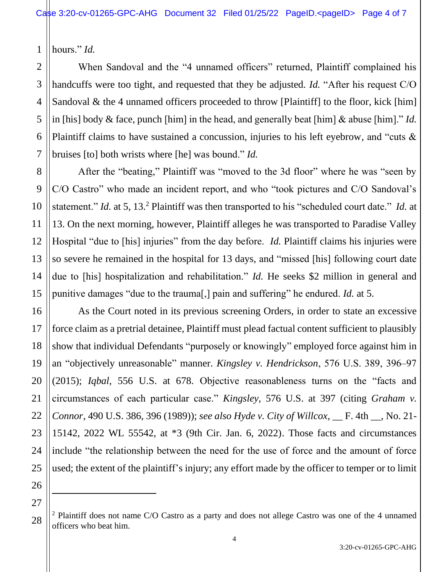1 hours." *Id.*

When Sandoval and the "4 unnamed officers" returned, Plaintiff complained his handcuffs were too tight, and requested that they be adjusted. *Id.* "After his request C/O Sandoval & the 4 unnamed officers proceeded to throw [Plaintiff] to the floor, kick [him] in [his] body & face, punch [him] in the head, and generally beat [him] & abuse [him]." *Id.* Plaintiff claims to have sustained a concussion, injuries to his left eyebrow, and "cuts & bruises [to] both wrists where [he] was bound." *Id.*

After the "beating," Plaintiff was "moved to the 3d floor" where he was "seen by C/O Castro" who made an incident report, and who "took pictures and C/O Sandoval's statement." *Id.* at 5, 13.<sup>2</sup> Plaintiff was then transported to his "scheduled court date." *Id.* at 13. On the next morning, however, Plaintiff alleges he was transported to Paradise Valley Hospital "due to [his] injuries" from the day before. *Id.* Plaintiff claims his injuries were so severe he remained in the hospital for 13 days, and "missed [his] following court date due to [his] hospitalization and rehabilitation." *Id.* He seeks \$2 million in general and punitive damages "due to the trauma[,] pain and suffering" he endured. *Id.* at 5.

As the Court noted in its previous screening Orders, in order to state an excessive force claim as a pretrial detainee, Plaintiff must plead factual content sufficient to plausibly show that individual Defendants "purposely or knowingly" employed force against him in an "objectively unreasonable" manner. *Kingsley v. Hendrickson*, 576 U.S. 389, 396‒97 (2015); *Iqbal*, 556 U.S. at 678. Objective reasonableness turns on the "facts and circumstances of each particular case." *Kingsley*, 576 U.S. at 397 (citing *Graham v. Connor*, 490 U.S. 386, 396 (1989)); *see also Hyde v. City of Willcox*, \_\_ F. 4th \_\_, No. 21- 15142, 2022 WL 55542, at \*3 (9th Cir. Jan. 6, 2022). Those facts and circumstances include "the relationship between the need for the use of force and the amount of force used; the extent of the plaintiff's injury; any effort made by the officer to temper or to limit

4

 $2$  Plaintiff does not name C/O Castro as a party and does not allege Castro was one of the 4 unnamed officers who beat him.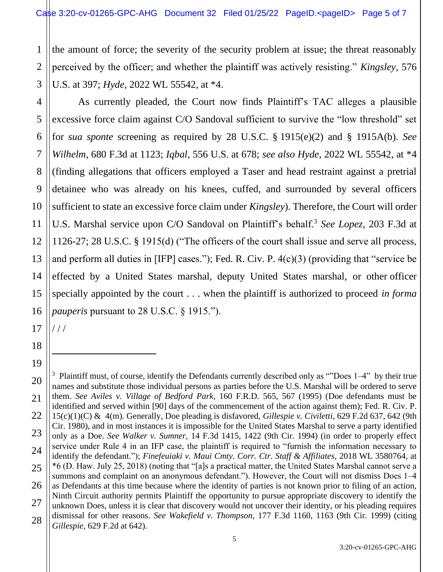1 2 3 the amount of force; the severity of the security problem at issue; the threat reasonably perceived by the officer; and whether the plaintiff was actively resisting." *Kingsley,* 576 U.S. at 397; *Hyde*, 2022 WL 55542, at \*4.

4 5 6 7 8 9 10 11 12 13 14 15 16 As currently pleaded, the Court now finds Plaintiff's TAC alleges a plausible excessive force claim against C/O Sandoval sufficient to survive the "low threshold" set for *sua sponte* screening as required by 28 U.S.C. § 1915(e)(2) and § 1915A(b). *See Wilhelm*, 680 F.3d at 1123; *Iqbal*, 556 U.S. at 678; *see also Hyde*, 2022 WL 55542, at \*4 (finding allegations that officers employed a Taser and head restraint against a pretrial detainee who was already on his knees, cuffed, and surrounded by several officers sufficient to state an excessive force claim under *Kingsley*). Therefore, the Court will order U.S. Marshal service upon C/O Sandoval on Plaintiff's behalf.<sup>3</sup> See Lopez, 203 F.3d at 1126-27; 28 U.S.C. § 1915(d) ("The officers of the court shall issue and serve all process, and perform all duties in [IFP] cases."); Fed. R. Civ. P. 4(c)(3) (providing that "service be effected by a United States marshal, deputy United States marshal, or other officer specially appointed by the court . . . when the plaintiff is authorized to proceed *in forma pauperis* pursuant to 28 U.S.C. § 1915.").

17 / / /

18

19

<sup>20</sup> 21 22 23 24 25 26 27 28 <sup>3</sup> Plaintiff must, of course, identify the Defendants currently described only as ""Does  $1-4$ " by their true names and substitute those individual persons as parties before the U.S. Marshal will be ordered to serve them. *See Aviles v. Village of Bedford Park*, 160 F.R.D. 565, 567 (1995) (Doe defendants must be identified and served within [90] days of the commencement of the action against them); Fed. R. Civ. P. 15(c)(1)(C) & 4(m). Generally, Doe pleading is disfavored, *Gillespie v. Civiletti*, 629 F.2d 637, 642 (9th Cir. 1980), and in most instances it is impossible for the United States Marshal to serve a party identified only as a Doe. *See Walker v. Sumner*, 14 F.3d 1415, 1422 (9th Cir. 1994) (in order to properly effect service under Rule 4 in an IFP case, the plaintiff is required to "furnish the information necessary to identify the defendant."); *Finefeuiaki v. Maui Cmty. Corr. Ctr. Staff & Affiliates*, 2018 WL 3580764, at \*6 (D. Haw. July 25, 2018) (noting that "[a]s a practical matter, the United States Marshal cannot serve a summons and complaint on an anonymous defendant."). However, the Court will not dismiss Does 1–4 as Defendants at this time because where the identity of parties is not known prior to filing of an action, Ninth Circuit authority permits Plaintiff the opportunity to pursue appropriate discovery to identify the unknown Does, unless it is clear that discovery would not uncover their identity, or his pleading requires dismissal for other reasons. *See Wakefield v. Thompson*, 177 F.3d 1160, 1163 (9th Cir. 1999) (citing *Gillespie*, 629 F.2d at 642).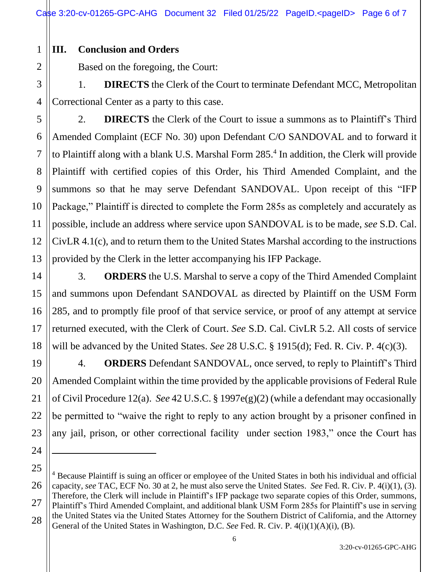**III. Conclusion and Orders**

1

2

5

6

7

8

9

10

11

12

13

14

15

16

17

18

19

20

21

22

23

24

Based on the foregoing, the Court:

3 4 1. **DIRECTS** the Clerk of the Court to terminate Defendant MCC, Metropolitan Correctional Center as a party to this case.

2. **DIRECTS** the Clerk of the Court to issue a summons as to Plaintiff's Third Amended Complaint (ECF No. 30) upon Defendant C/O SANDOVAL and to forward it to Plaintiff along with a blank U.S. Marshal Form 285.<sup>4</sup> In addition, the Clerk will provide Plaintiff with certified copies of this Order, his Third Amended Complaint, and the summons so that he may serve Defendant SANDOVAL. Upon receipt of this "IFP Package," Plaintiff is directed to complete the Form 285s as completely and accurately as possible, include an address where service upon SANDOVAL is to be made, *see* S.D. Cal. CivLR 4.1(c), and to return them to the United States Marshal according to the instructions provided by the Clerk in the letter accompanying his IFP Package.

3. **ORDERS** the U.S. Marshal to serve a copy of the Third Amended Complaint and summons upon Defendant SANDOVAL as directed by Plaintiff on the USM Form 285, and to promptly file proof of that service service, or proof of any attempt at service returned executed, with the Clerk of Court. *See* S.D. Cal. CivLR 5.2. All costs of service will be advanced by the United States. *See* 28 U.S.C. § 1915(d); Fed. R. Civ. P. 4(c)(3).

4. **ORDERS** Defendant SANDOVAL, once served, to reply to Plaintiff's Third Amended Complaint within the time provided by the applicable provisions of Federal Rule of Civil Procedure 12(a). *See* 42 U.S.C. § 1997e(g)(2) (while a defendant may occasionally be permitted to "waive the right to reply to any action brought by a prisoner confined in any jail, prison, or other correctional facility under section 1983," once the Court has

<sup>25</sup> 26 27 28 <sup>4</sup> Because Plaintiff is suing an officer or employee of the United States in both his individual and official capacity, *see* TAC, ECF No. 30 at 2, he must also serve the United States. *See* Fed. R. Civ. P. 4(i)(1), (3). Therefore, the Clerk will include in Plaintiff's IFP package two separate copies of this Order, summons, Plaintiff's Third Amended Complaint, and additional blank USM Form 285s for Plaintiff's use in serving the United States via the United States Attorney for the Southern District of California, and the Attorney General of the United States in Washington, D.C. *See* Fed. R. Civ. P. 4(i)(1)(A)(i), (B).